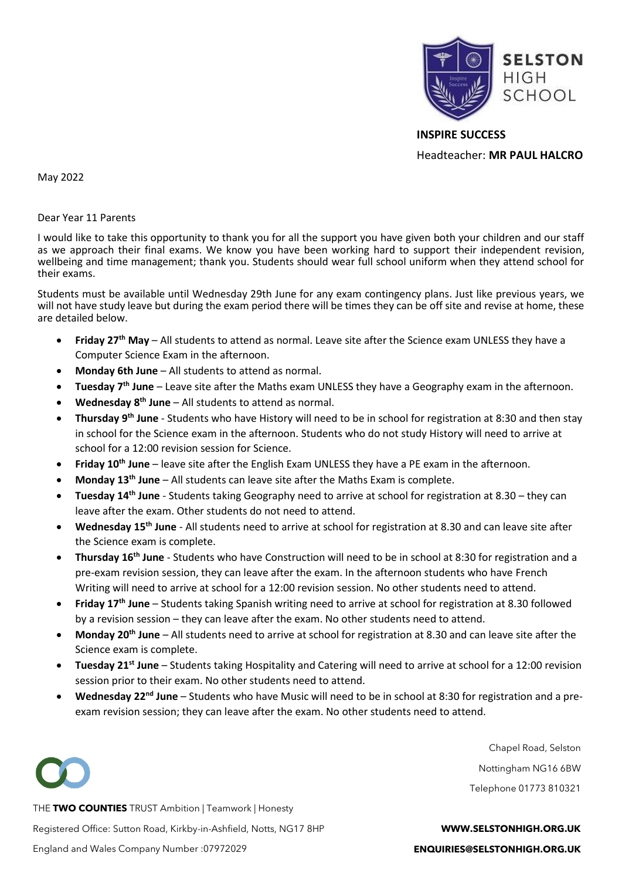

**INSPIRE SUCCESS** Headteacher: **MR PAUL HALCRO**

May 2022

Dear Year 11 Parents

I would like to take this opportunity to thank you for all the support you have given both your children and our staff as we approach their final exams. We know you have been working hard to support their independent revision, wellbeing and time management; thank you. Students should wear full school uniform when they attend school for their exams.

Students must be available until Wednesday 29th June for any exam contingency plans. Just like previous years, we will not have study leave but during the exam period there will be times they can be off site and revise at home, these are detailed below.

- **Friday 27th May** All students to attend as normal. Leave site after the Science exam UNLESS they have a Computer Science Exam in the afternoon.
- **Monday 6th June** All students to attend as normal.
- **Tuesday 7th June** Leave site after the Maths exam UNLESS they have a Geography exam in the afternoon.
- **Wednesday 8th June** All students to attend as normal.
- **Thursday 9th June** Students who have History will need to be in school for registration at 8:30 and then stay in school for the Science exam in the afternoon. Students who do not study History will need to arrive at school for a 12:00 revision session for Science.
- **Friday 10th June** leave site after the English Exam UNLESS they have a PE exam in the afternoon.
- **Monday 13th June** All students can leave site after the Maths Exam is complete.
- **Tuesday 14th June** Students taking Geography need to arrive at school for registration at 8.30 they can leave after the exam. Other students do not need to attend.
- **Wednesday 15th June** All students need to arrive at school for registration at 8.30 and can leave site after the Science exam is complete.
- **Thursday 16th June** Students who have Construction will need to be in school at 8:30 for registration and a pre-exam revision session, they can leave after the exam. In the afternoon students who have French Writing will need to arrive at school for a 12:00 revision session. No other students need to attend.
- **Friday 17th June** Students taking Spanish writing need to arrive at school for registration at 8.30 followed by a revision session – they can leave after the exam. No other students need to attend.
- **Monday 20th June** All students need to arrive at school for registration at 8.30 and can leave site after the Science exam is complete.
- **Tuesday 21st June** Students taking Hospitality and Catering will need to arrive at school for a 12:00 revision session prior to their exam. No other students need to attend.
- **Wednesday 22nd June** Students who have Music will need to be in school at 8:30 for registration and a preexam revision session; they can leave after the exam. No other students need to attend.

Chapel Road, Selston

Nottingham NG16 6BW

Telephone 01773 810321

THE **TWO COUNTIES** TRUST Ambition | Teamwork | Honesty Registered Office: Sutton Road, Kirkby-in-Ashfield, Notts, NG17 8HP